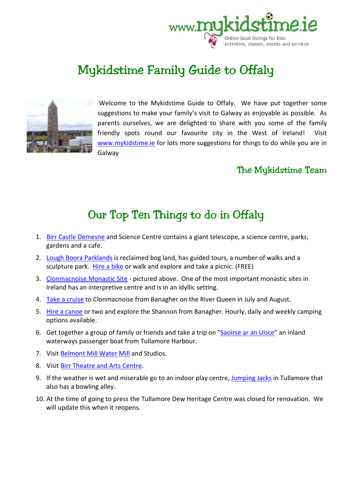

# Mykidstime Family Guide to Offaly



Welcome to the Mykidstime Guide to Offaly. We have put together some suggestions to make your family's visit to Galway as enjoyable as possible. As parents ourselves, we are delighted to share with you some of the family friendly spots round our favourite city in the West of Ireland! Visit www.mykidstime.ie for lots more suggestions for things to do while you are in Galway

### The Mykidstime Team

## Our Top Ten Things to do in Offaly

- 1. Birr Castle Demesne and Science Centre contains a giant telescope, a science centre, parks, gardens and a cafe.
- 2. Lough Boora Parklands is reclaimed bog land, has guided tours, a number of walks and a sculpture park. Hire a bike or walk and explore and take a picnic. (FREE)
- 3. Clonmacnoise Monastic Site pictured above. One of the most important monastic sites in Ireland has an interpretive centre and is in an idyllic setting.
- 4. Take a cruise to Clonmacnoise from Banagher on the River Queen in July and August.
- 5. Hire a canoe or two and explore the Shannon from Banagher. Hourly, daily and weekly camping options available.
- 6. Get together a group of family or friends and take a trip on "Saoirse ar an Uisce" an inland waterways passenger boat from Tullamore Harbour.
- 7. Visit Belmont Mill Water Mill and Studios.
- 8. Visit Birr Theatre and Arts Centre.
- 9. If the weather is wet and miserable go to an indoor play centre, Jumping Jacks in Tullamore that also has a bowling alley.
- 10. At the time of going to press the Tullamore Dew Heritage Centre was closed for renovation. We will update this when it reopens.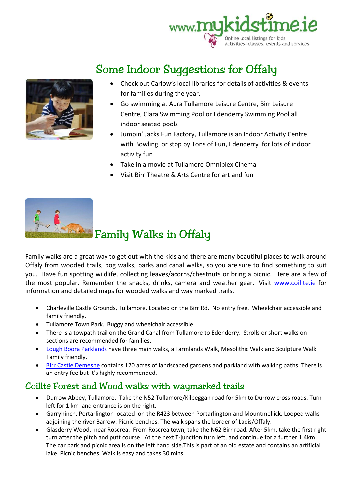



# Some Indoor Suggestions for Offaly

- Check out Carlow's local libraries for details of activities & events for families during the year.
- Go swimming at Aura Tullamore Leisure Centre, Birr Leisure Centre, Clara Swimming Pool or Edenderry Swimming Pool all indoor seated pools
- Jumpin' Jacks Fun Factory, Tullamore is an Indoor Activity Centre with Bowling or stop by Tons of Fun, Edenderry for lots of indoor activity fun
- Take in a movie at Tullamore Omniplex Cinema
- Visit Birr Theatre & Arts Centre for art and fun



# **Family Walks in Offaly**

Family walks are a great way to get out with the kids and there are many beautiful places to walk around Offaly from wooded trails, bog walks, parks and canal walks, so you are sure to find something to suit you. Have fun spotting wildlife, collecting leaves/acorns/chestnuts or bring a picnic. Here are a few of the most popular. Remember the snacks, drinks, camera and weather gear. Visit www.coillte.ie for information and detailed maps for wooded walks and way marked trails.

- Charleville Castle Grounds, Tullamore. Located on the Birr Rd. No entry free. Wheelchair accessible and family friendly.
- Tullamore Town Park. Buggy and wheelchair accessible.
- There is a towpath trail on the Grand Canal from Tullamore to Edenderry. Strolls or short walks on sections are recommended for families.
- Lough Boora Parklands have three main walks, a Farmlands Walk, Mesolithic Walk and Sculpture Walk. Family friendly.
- **Birr Castle Demesne contains 120 acres of landscaped gardens and parkland with walking paths. There is** an entry fee but it's highly recommended.

## Coillte Forest and Wood walks with waymarked trails

- Durrow Abbey, Tullamore. Take the N52 Tullamore/Kilbeggan road for 5km to Durrow cross roads. Turn left for 1 km and entrance is on the right.
- Garryhinch, Portarlington located on the R423 between Portarlington and Mountmellick. Looped walks adjoining the river Barrow. Picnic benches. The walk spans the border of Laois/Offaly.
- Glasderry Wood, near Roscrea. From Roscrea town, take the N62 Birr road. After 5km, take the first right turn after the pitch and putt course. At the next T-junction turn left, and continue for a further 1.4km. The car park and picnic area is on the left hand side.This is part of an old estate and contains an artificial lake. Picnic benches. Walk is easy and takes 30 mins.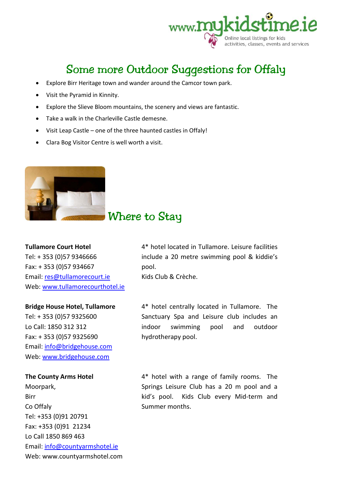

## Some more Outdoor Suggestions for Offaly

- Explore Birr Heritage town and wander around the Camcor town park.
- Visit the Pyramid in Kinnity.
- Explore the Slieve Bloom mountains, the scenery and views are fantastic.
- Take a walk in the Charleville Castle demesne.
- Visit Leap Castle one of the three haunted castles in Offaly!
- Clara Bog Visitor Centre is well worth a visit.



## Where to Stay

#### **Tullamore Court Hotel**

Tel: + 353 (0)57 9346666 Fax: + 353 (0)57 934667 Email: res@tullamorecourt.ie Web: www.tullamorecourthotel.ie

#### **Bridge House Hotel, Tullamore**

Tel: + 353 (0)57 9325600 Lo Call: 1850 312 312 Fax: + 353 (0)57 9325690 Email: info@bridgehouse.com Web: www.bridgehouse.com

#### **The County Arms Hotel**

Moorpark, Birr Co Offaly Tel: +353 (0)91 20791 Fax: +353 (0)91 21234 Lo Call 1850 869 463 Email: info@countyarmshotel.ie Web: www.countyarmshotel.com 4\* hotel located in Tullamore. Leisure facilities include a 20 metre swimming pool & kiddie's pool.

Kids Club & Crèche.

4\* hotel centrally located in Tullamore. The Sanctuary Spa and Leisure club includes an indoor swimming pool and outdoor hydrotherapy pool.

4\* hotel with a range of family rooms. The Springs Leisure Club has a 20 m pool and a kid's pool. Kids Club every Mid-term and Summer months.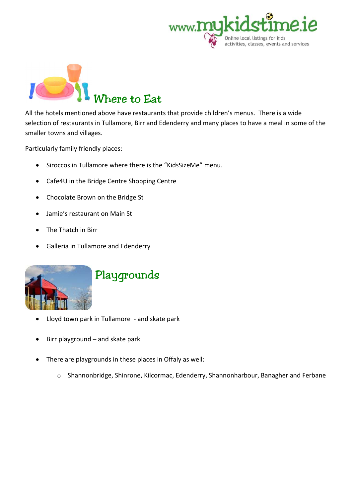



All the hotels mentioned above have restaurants that provide children's menus. There is a wide selection of restaurants in Tullamore, Birr and Edenderry and many places to have a meal in some of the smaller towns and villages.

Particularly family friendly places:

- Siroccos in Tullamore where there is the "KidsSizeMe" menu.
- Cafe4U in the Bridge Centre Shopping Centre
- Chocolate Brown on the Bridge St
- Jamie's restaurant on Main St
- The Thatch in Birr
- Galleria in Tullamore and Edenderry



- Lloyd town park in Tullamore and skate park
- Birr playground and skate park
- There are playgrounds in these places in Offaly as well:
	- o Shannonbridge, Shinrone, Kilcormac, Edenderry, Shannonharbour, Banagher and Ferbane